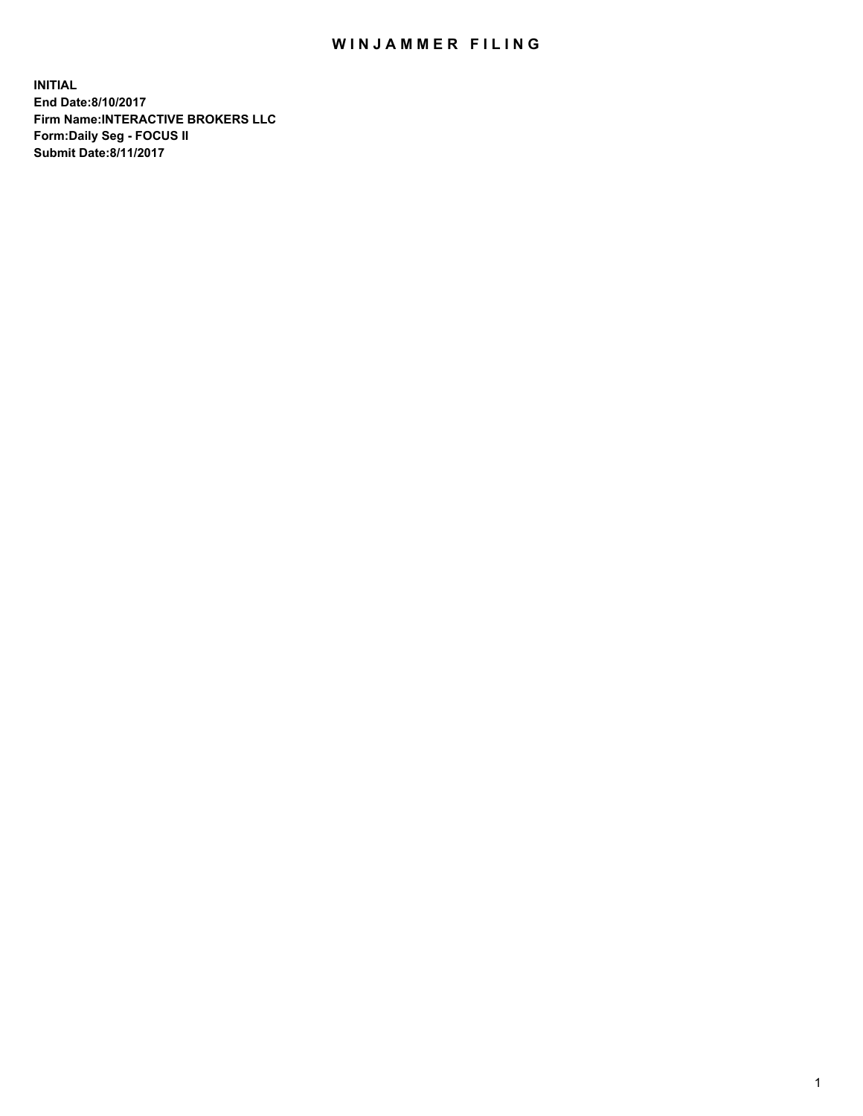## WIN JAMMER FILING

**INITIAL End Date:8/10/2017 Firm Name:INTERACTIVE BROKERS LLC Form:Daily Seg - FOCUS II Submit Date:8/11/2017**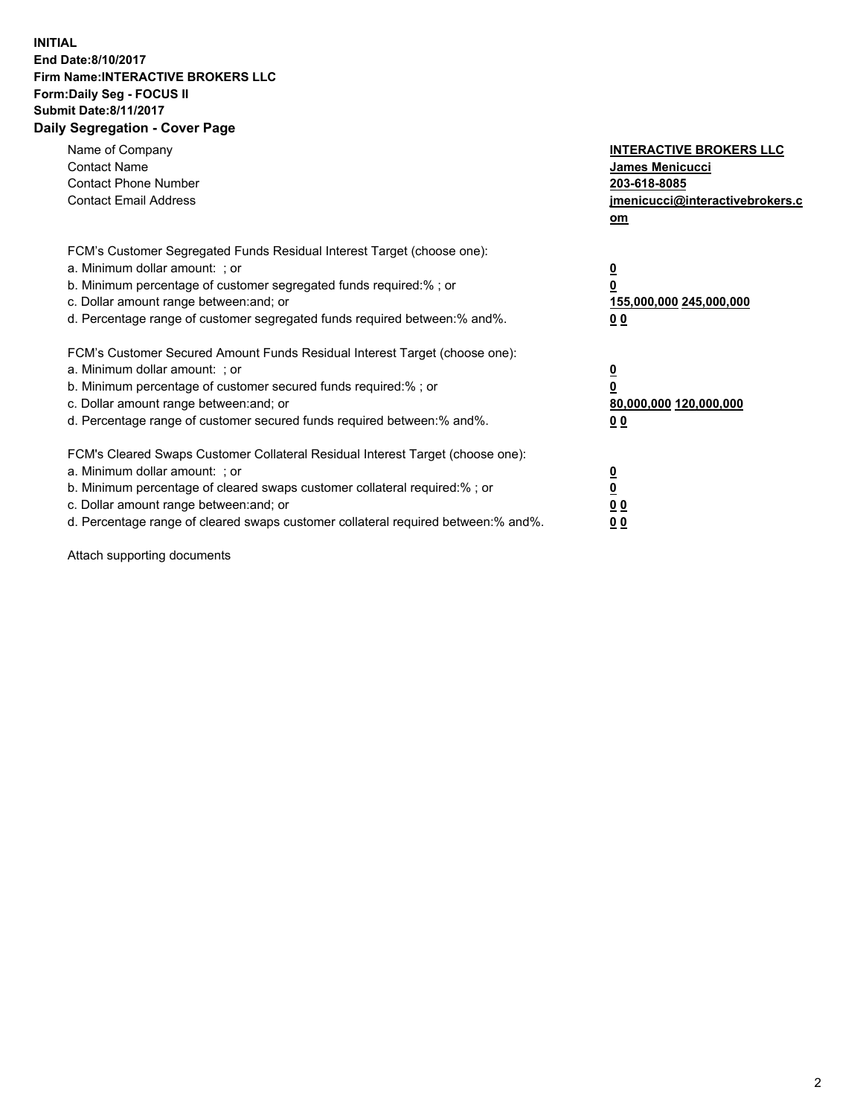## **INITIAL End Date:8/10/2017 Firm Name:INTERACTIVE BROKERS LLC Form:Daily Seg - FOCUS II Submit Date:8/11/2017 Daily Segregation - Cover Page**

| Name of Company<br><b>Contact Name</b><br><b>Contact Phone Number</b><br><b>Contact Email Address</b>                                                                                                                                                                                                                          | <b>INTERACTIVE BROKERS LLC</b><br>James Menicucci<br>203-618-8085<br>jmenicucci@interactivebrokers.c<br>om |
|--------------------------------------------------------------------------------------------------------------------------------------------------------------------------------------------------------------------------------------------------------------------------------------------------------------------------------|------------------------------------------------------------------------------------------------------------|
| FCM's Customer Segregated Funds Residual Interest Target (choose one):<br>a. Minimum dollar amount: ; or<br>b. Minimum percentage of customer segregated funds required:% ; or<br>c. Dollar amount range between: and; or<br>d. Percentage range of customer segregated funds required between: % and %.                       | $\overline{\mathbf{0}}$<br>0<br>155,000,000 245,000,000<br>00                                              |
| FCM's Customer Secured Amount Funds Residual Interest Target (choose one):<br>a. Minimum dollar amount: ; or<br>b. Minimum percentage of customer secured funds required:%; or<br>c. Dollar amount range between: and; or<br>d. Percentage range of customer secured funds required between:% and%.                            | $\overline{\mathbf{0}}$<br>0<br>80,000,000 120,000,000<br>0 <sub>0</sub>                                   |
| FCM's Cleared Swaps Customer Collateral Residual Interest Target (choose one):<br>a. Minimum dollar amount: ; or<br>b. Minimum percentage of cleared swaps customer collateral required:% ; or<br>c. Dollar amount range between: and; or<br>d. Percentage range of cleared swaps customer collateral required between:% and%. | $\overline{\mathbf{0}}$<br>$\underline{\mathbf{0}}$<br>0 <sub>0</sub><br>0 <sub>0</sub>                    |

Attach supporting documents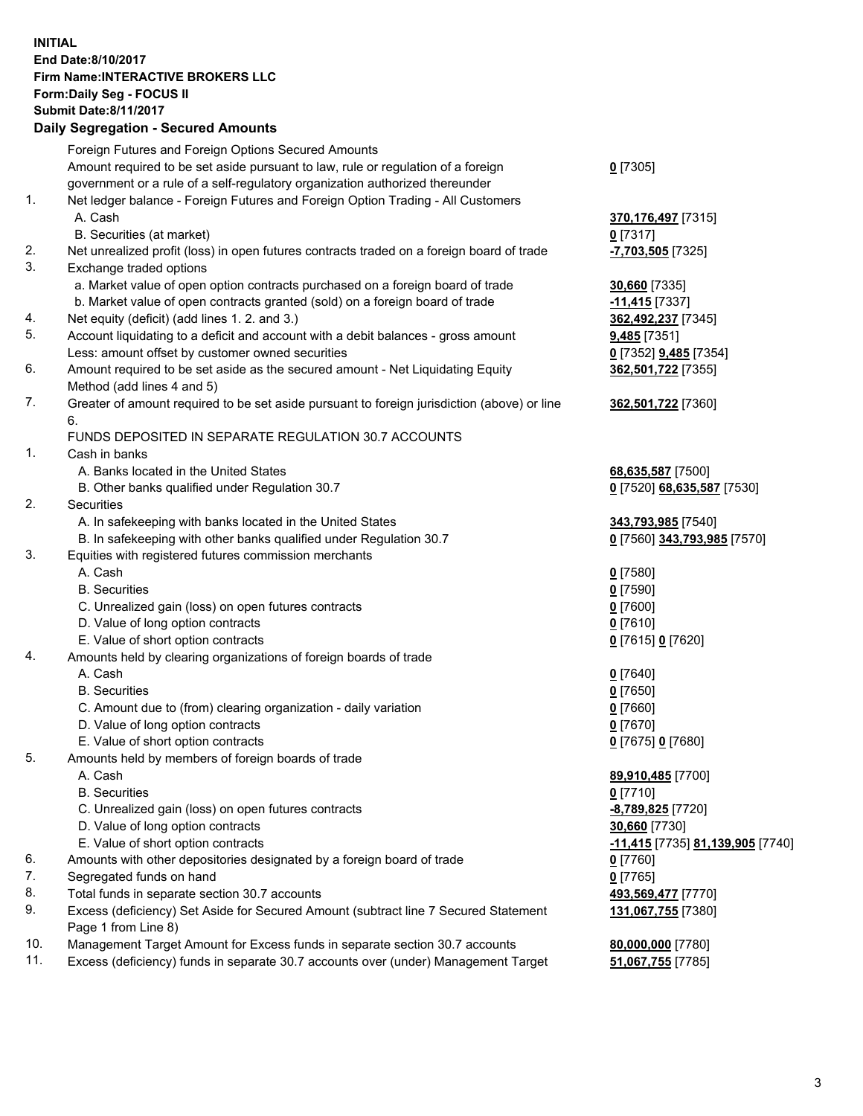## **INITIAL End Date:8/10/2017 Firm Name:INTERACTIVE BROKERS LLC Form:Daily Seg - FOCUS II Submit Date:8/11/2017**<br>**Daily Segregation - Secured Amounts Daily Segregation - Secured**

|     | Daily Segregation - Secured Amounts                                                         |                                  |
|-----|---------------------------------------------------------------------------------------------|----------------------------------|
|     | Foreign Futures and Foreign Options Secured Amounts                                         |                                  |
|     | Amount required to be set aside pursuant to law, rule or regulation of a foreign            | $0$ [7305]                       |
|     | government or a rule of a self-regulatory organization authorized thereunder                |                                  |
| 1.  | Net ledger balance - Foreign Futures and Foreign Option Trading - All Customers             |                                  |
|     | A. Cash                                                                                     | 370, 176, 497 [7315]             |
|     | B. Securities (at market)                                                                   | $0$ [7317]                       |
| 2.  | Net unrealized profit (loss) in open futures contracts traded on a foreign board of trade   | -7,703,505 [7325]                |
| 3.  |                                                                                             |                                  |
|     | Exchange traded options                                                                     |                                  |
|     | a. Market value of open option contracts purchased on a foreign board of trade              | <b>30,660</b> [7335]             |
|     | b. Market value of open contracts granted (sold) on a foreign board of trade                | $-11,415$ [7337]                 |
| 4.  | Net equity (deficit) (add lines 1.2. and 3.)                                                | 362,492,237 [7345]               |
| 5.  | Account liquidating to a deficit and account with a debit balances - gross amount           | 9,485 [7351]                     |
|     | Less: amount offset by customer owned securities                                            | 0 [7352] 9,485 [7354]            |
| 6.  | Amount required to be set aside as the secured amount - Net Liquidating Equity              | 362,501,722 [7355]               |
|     | Method (add lines 4 and 5)                                                                  |                                  |
| 7.  | Greater of amount required to be set aside pursuant to foreign jurisdiction (above) or line | 362,501,722 [7360]               |
|     | 6.                                                                                          |                                  |
|     | FUNDS DEPOSITED IN SEPARATE REGULATION 30.7 ACCOUNTS                                        |                                  |
| 1.  | Cash in banks                                                                               |                                  |
|     | A. Banks located in the United States                                                       | 68,635,587 [7500]                |
|     | B. Other banks qualified under Regulation 30.7                                              | 0 [7520] 68,635,587 [7530]       |
| 2.  | Securities                                                                                  |                                  |
|     | A. In safekeeping with banks located in the United States                                   | 343,793,985 [7540]               |
|     | B. In safekeeping with other banks qualified under Regulation 30.7                          | 0 [7560] 343,793,985 [7570]      |
| 3.  | Equities with registered futures commission merchants                                       |                                  |
|     | A. Cash                                                                                     | $0$ [7580]                       |
|     | <b>B.</b> Securities                                                                        | $0$ [7590]                       |
|     | C. Unrealized gain (loss) on open futures contracts                                         | $0$ [7600]                       |
|     | D. Value of long option contracts                                                           | $0$ [7610]                       |
|     | E. Value of short option contracts                                                          | 0 [7615] 0 [7620]                |
| 4.  | Amounts held by clearing organizations of foreign boards of trade                           |                                  |
|     | A. Cash                                                                                     | $0$ [7640]                       |
|     | <b>B.</b> Securities                                                                        | $0$ [7650]                       |
|     | C. Amount due to (from) clearing organization - daily variation                             | $0$ [7660]                       |
|     | D. Value of long option contracts                                                           | $0$ [7670]                       |
|     | E. Value of short option contracts                                                          | 0 [7675] 0 [7680]                |
| 5.  |                                                                                             |                                  |
|     | Amounts held by members of foreign boards of trade<br>A. Cash                               |                                  |
|     |                                                                                             | 89,910,485 [7700]                |
|     | <b>B.</b> Securities                                                                        | $0$ [7710]                       |
|     | C. Unrealized gain (loss) on open futures contracts                                         | -8,789,825 [7720]                |
|     | D. Value of long option contracts                                                           | 30,660 [7730]                    |
|     | E. Value of short option contracts                                                          | -11,415 [7735] 81,139,905 [7740] |
| 6.  | Amounts with other depositories designated by a foreign board of trade                      | 0 [7760]                         |
| 7.  | Segregated funds on hand                                                                    | $0$ [7765]                       |
| 8.  | Total funds in separate section 30.7 accounts                                               | 493,569,477 [7770]               |
| 9.  | Excess (deficiency) Set Aside for Secured Amount (subtract line 7 Secured Statement         | 131,067,755 [7380]               |
|     | Page 1 from Line 8)                                                                         |                                  |
| 10. | Management Target Amount for Excess funds in separate section 30.7 accounts                 | 80,000,000 [7780]                |
| 11. | Excess (deficiency) funds in separate 30.7 accounts over (under) Management Target          | 51,067,755 [7785]                |
|     |                                                                                             |                                  |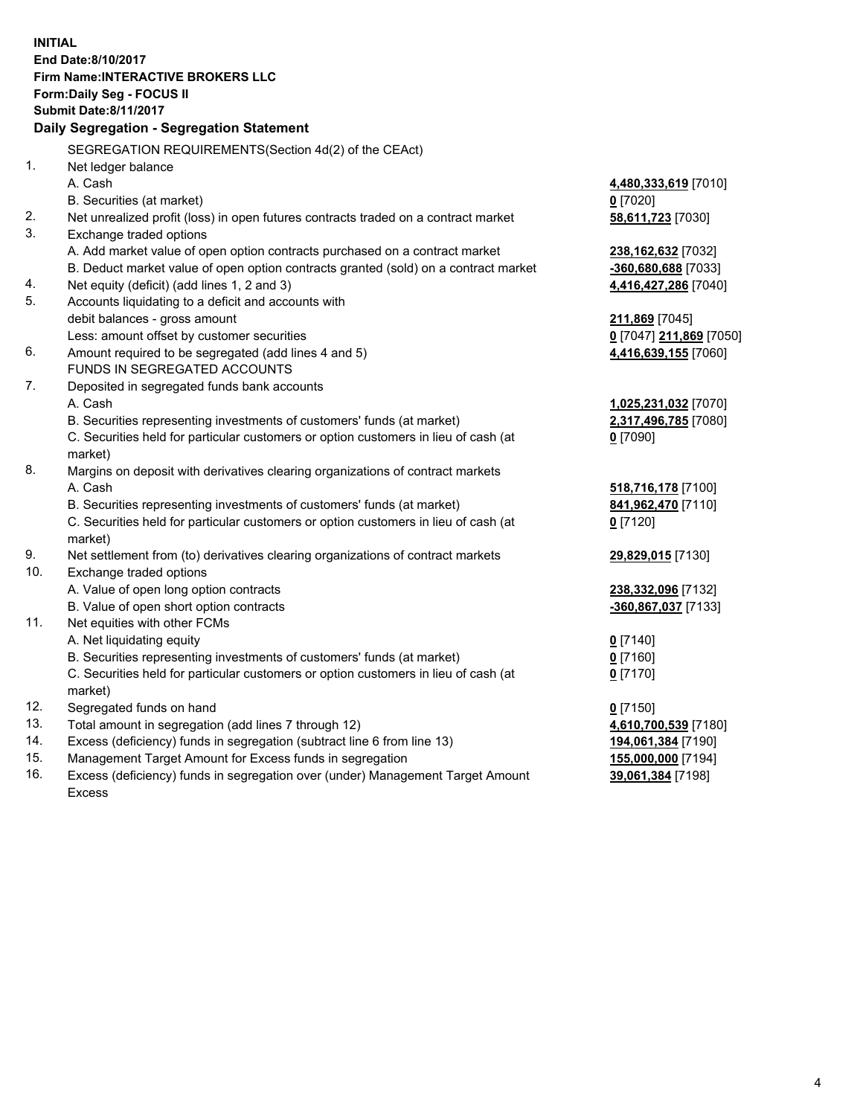**INITIAL End Date:8/10/2017 Firm Name:INTERACTIVE BROKERS LLC Form:Daily Seg - FOCUS II Submit Date:8/11/2017 Daily Segregation - Segregation Statement** SEGREGATION REQUIREMENTS(Section 4d(2) of the CEAct) 1. Net ledger balance A. Cash **4,480,333,619** [7010] B. Securities (at market) **0** [7020] 2. Net unrealized profit (loss) in open futures contracts traded on a contract market **58,611,723** [7030] 3. Exchange traded options A. Add market value of open option contracts purchased on a contract market **238,162,632** [7032] B. Deduct market value of open option contracts granted (sold) on a contract market **-360,680,688** [7033] 4. Net equity (deficit) (add lines 1, 2 and 3) **4,416,427,286** [7040] 5. Accounts liquidating to a deficit and accounts with debit balances - gross amount **211,869** [7045] Less: amount offset by customer securities **0** [7047] **211,869** [7050] 6. Amount required to be segregated (add lines 4 and 5) **4,416,639,155** [7060] FUNDS IN SEGREGATED ACCOUNTS 7. Deposited in segregated funds bank accounts A. Cash **1,025,231,032** [7070] B. Securities representing investments of customers' funds (at market) **2,317,496,785** [7080] C. Securities held for particular customers or option customers in lieu of cash (at market) **0** [7090] 8. Margins on deposit with derivatives clearing organizations of contract markets A. Cash **518,716,178** [7100] B. Securities representing investments of customers' funds (at market) **841,962,470** [7110] C. Securities held for particular customers or option customers in lieu of cash (at market) **0** [7120] 9. Net settlement from (to) derivatives clearing organizations of contract markets **29,829,015** [7130] 10. Exchange traded options A. Value of open long option contracts **238,332,096** [7132] B. Value of open short option contracts **-360,867,037** [7133] 11. Net equities with other FCMs A. Net liquidating equity **0** [7140] B. Securities representing investments of customers' funds (at market) **0** [7160] C. Securities held for particular customers or option customers in lieu of cash (at market) **0** [7170] 12. Segregated funds on hand **0** [7150] 13. Total amount in segregation (add lines 7 through 12) **4,610,700,539** [7180] 14. Excess (deficiency) funds in segregation (subtract line 6 from line 13) **194,061,384** [7190] 15. Management Target Amount for Excess funds in segregation **155,000,000** [7194] 16. Excess (deficiency) funds in segregation over (under) Management Target Amount **39,061,384** [7198]

Excess